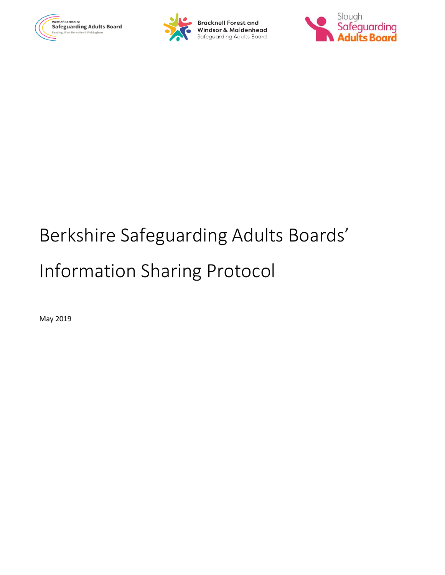





May 2019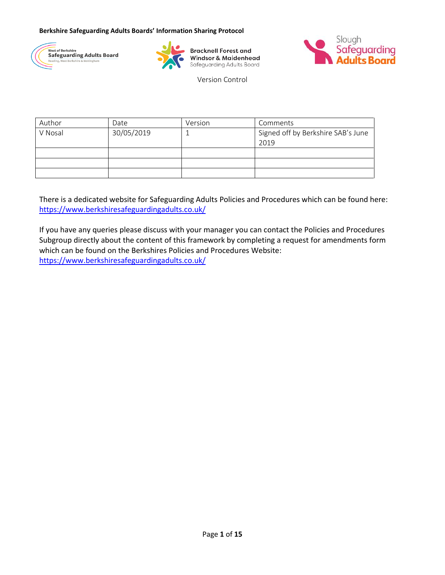



**Bracknell Forest and<br>Windsor & Maidenhead**<br>Safeguarding Adults Board



Version Control

| Author  | Date       | Version | Comments                           |
|---------|------------|---------|------------------------------------|
| V Nosal | 30/05/2019 |         | Signed off by Berkshire SAB's June |
|         |            |         | 2019                               |
|         |            |         |                                    |
|         |            |         |                                    |
|         |            |         |                                    |

There is a dedicated website for Safeguarding Adults Policies and Procedures which can be found here: <https://www.berkshiresafeguardingadults.co.uk/>

If you have any queries please discuss with your manager you can contact the Policies and Procedures Subgroup directly about the content of this framework by completing a request for amendments form which can be found on the Berkshires Policies and Procedures Website: <https://www.berkshiresafeguardingadults.co.uk/>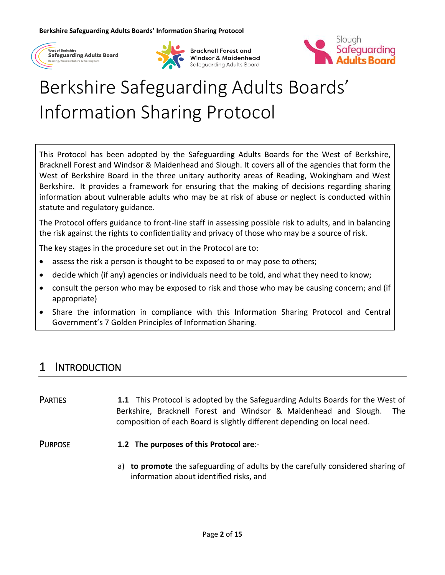





This Protocol has been adopted by the Safeguarding Adults Boards for the West of Berkshire, Bracknell Forest and Windsor & Maidenhead and Slough. It covers all of the agencies that form the West of Berkshire Board in the three unitary authority areas of Reading, Wokingham and West Berkshire. It provides a framework for ensuring that the making of decisions regarding sharing information about vulnerable adults who may be at risk of abuse or neglect is conducted within statute and regulatory guidance.

The Protocol offers guidance to front-line staff in assessing possible risk to adults, and in balancing the risk against the rights to confidentiality and privacy of those who may be a source of risk.

The key stages in the procedure set out in the Protocol are to:

- assess the risk a person is thought to be exposed to or may pose to others;
- decide which (if any) agencies or individuals need to be told, and what they need to know;
- consult the person who may be exposed to risk and those who may be causing concern; and (if appropriate)
- Share the information in compliance with this Information Sharing Protocol and Central Government's 7 Golden Principles of Information Sharing.

## 1 INTRODUCTION

PARTIES **1.1** This Protocol is adopted by the Safeguarding Adults Boards for the West of Berkshire, Bracknell Forest and Windsor & Maidenhead and Slough. The composition of each Board is slightly different depending on local need.

PURPOSE **1.2 The purposes of this Protocol are**:-

a) **to promote** the safeguarding of adults by the carefully considered sharing of information about identified risks, and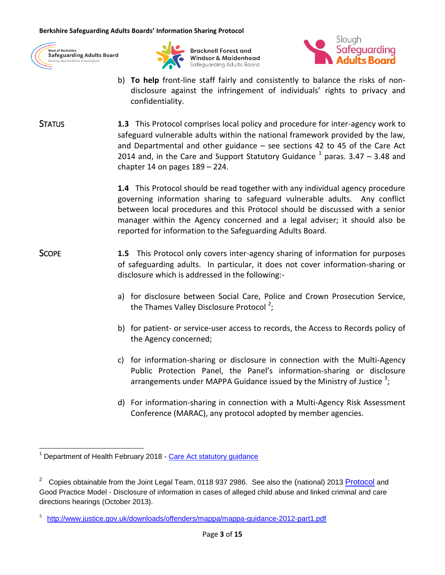



**Bracknell Forest and<br>Windsor & Maidenhead**<br>Safeguarding Adults Board



- b) **To help** front-line staff fairly and consistently to balance the risks of nondisclosure against the infringement of individuals' rights to privacy and confidentiality.
- STATUS **1.3** This Protocol comprises local policy and procedure for inter-agency work to safeguard vulnerable adults within the national framework provided by the law, and Departmental and other guidance – see sections 42 to 45 of the Care Act 2014 and, in the Care and Support Statutory Guidance  $^1$  paras. 3.47 – 3.48 and chapter 14 on pages 189 – 224.

**1.4** This Protocol should be read together with any individual agency procedure governing information sharing to safeguard vulnerable adults. Any conflict between local procedures and this Protocol should be discussed with a senior manager within the Agency concerned and a legal adviser; it should also be reported for information to the Safeguarding Adults Board.

- SCOPE **1.5** This Protocol only covers inter-agency sharing of information for purposes of safeguarding adults. In particular, it does not cover information-sharing or disclosure which is addressed in the following:
	- a) for disclosure between Social Care, Police and Crown Prosecution Service, the Thames Valley Disclosure Protocol<sup>2</sup>;
	- b) for patient- or service-user access to records, the Access to Records policy of the Agency concerned;
	- c) for information-sharing or disclosure in connection with the Multi-Agency Public Protection Panel, the Panel's information-sharing or disclosure arrangements under MAPPA Guidance issued by the Ministry of Justice  $^3$ ;
	- d) For information-sharing in connection with a Multi-Agency Risk Assessment Conference (MARAC), any protocol adopted by member agencies.

l <sup>1</sup> Department of Health February 2018 - [Care Act statutory guidance](https://www.gov.uk/government/publications/care-act-statutory-guidance/care-and-support-statutory-guidance)

<sup>&</sup>lt;sup>2</sup> Copies obtainable from the Joint Legal Team, 0118 937 2986. See also the (national) 2013 [Protocol](http://www.cps.gov.uk/publications/docs/third_party_protocol_2013.pdf) and Good Practice Model - Disclosure of information in cases of alleged child abuse and linked criminal and care directions hearings (October 2013).

<sup>3</sup> <http://www.justice.gov.uk/downloads/offenders/mappa/mappa-guidance-2012-part1.pdf>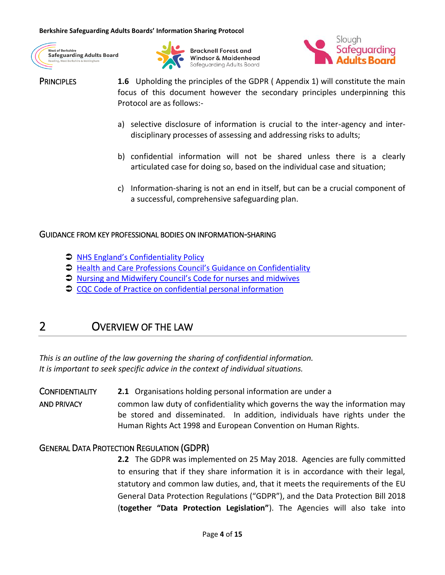





- PRINCIPLES **1.6** Upholding the principles of the GDPR ( Appendix 1) will constitute the main focus of this document however the secondary principles underpinning this Protocol are as follows:
	- a) selective disclosure of information is crucial to the inter-agency and interdisciplinary processes of assessing and addressing risks to adults;
	- b) confidential information will not be shared unless there is a clearly articulated case for doing so, based on the individual case and situation;
	- c) Information-sharing is not an end in itself, but can be a crucial component of a successful, comprehensive safeguarding plan.

## GUIDANCE FROM KEY PROFESSIONAL BODIES ON INFORMATION-SHARING

- **→ [NHS England's Confidentiality Policy](https://www.england.nhs.uk/wp-content/uploads/2016/12/confidentiality-policy-v4.pdf)**
- [Health and Care Professions Council's Guidance on Confidentiality](https://www.hcpc-uk.org/registration/meeting-our-standards/guidance-on-confidentiality/)
- **→ [Nursing](http://www.nmc-uk.org/aFrameDisplay.aspx?DocumentID=606) and Midwifery Council's Code for nurses and midwives**
- **[CQC Code of Practice on confidential personal information](https://www.cqc.org.uk/file/4201)**

## 2 OVERVIEW OF THE LAW

*This is an outline of the law governing the sharing of confidential information. It is important to seek specific advice in the context of individual situations.*

## CONFIDENTIALITY **2.1** Organisations holding personal information are under a

AND PRIVACY common law duty of confidentiality which governs the way the information may be stored and disseminated. In addition, individuals have rights under the Human Rights Act 1998 and European Convention on Human Rights.

## GENERAL DATA PROTECTION REGULATION (GDPR)

 **2.2** The GDPR was implemented on 25 May 2018. Agencies are fully committed to ensuring that if they share information it is in accordance with their legal, statutory and common law duties, and, that it meets the requirements of the EU General Data Protection Regulations ("GDPR"), and the Data Protection Bill 2018 (**together "Data Protection Legislation"**). The Agencies will also take into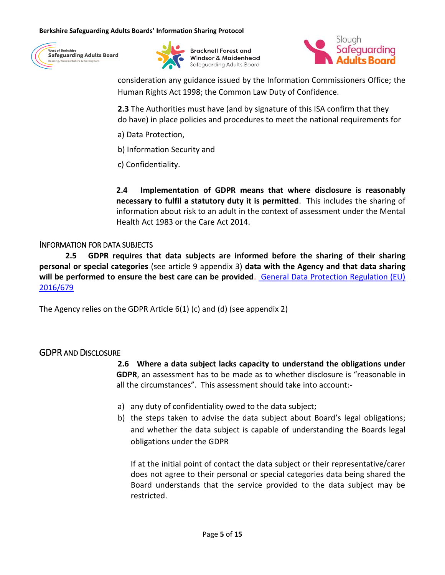



**Bracknell Forest and<br>Windsor & Maidenhead**<br>Safeguarding Adults Board



consideration any guidance issued by the Information Commissioners Office; the Human Rights Act 1998; the Common Law Duty of Confidence.

**2.3** The Authorities must have (and by signature of this ISA confirm that they do have) in place policies and procedures to meet the national requirements for

a) Data Protection,

b) Information Security and

c) Confidentiality.

**2.4 Implementation of GDPR means that where disclosure is reasonably necessary to fulfil a statutory duty it is permitted**. This includes the sharing of information about risk to an adult in the context of assessment under the Mental Health Act 1983 or the Care Act 2014.

## INFORMATION FOR DATA SUBJECTS

**2.5 GDPR requires that data subjects are informed before the sharing of their sharing personal or special categories** (see article 9 appendix 3) **data with the Agency and that data sharing will be performed to ensure the best care can be provided**. [General Data Protection Regulation \(EU\)](https://eur-lex.europa.eu/legal-content/EN/TXT/?qid=1528874672298&uri=CELEX:02016R0679-20160504)  [2016/679](https://eur-lex.europa.eu/legal-content/EN/TXT/?qid=1528874672298&uri=CELEX:02016R0679-20160504)

The Agency relies on the GDPR Article 6(1) (c) and (d) (see appendix 2)

## **GDPR AND DISCLOSURE**

**2.6 Where a data subject lacks capacity to understand the obligations under GDPR**, an assessment has to be made as to whether disclosure is "reasonable in all the circumstances". This assessment should take into account:-

- a) any duty of confidentiality owed to the data subject;
- b) the steps taken to advise the data subject about Board's legal obligations; and whether the data subject is capable of understanding the Boards legal obligations under the GDPR

If at the initial point of contact the data subject or their representative/carer does not agree to their personal or special categories data being shared the Board understands that the service provided to the data subject may be restricted.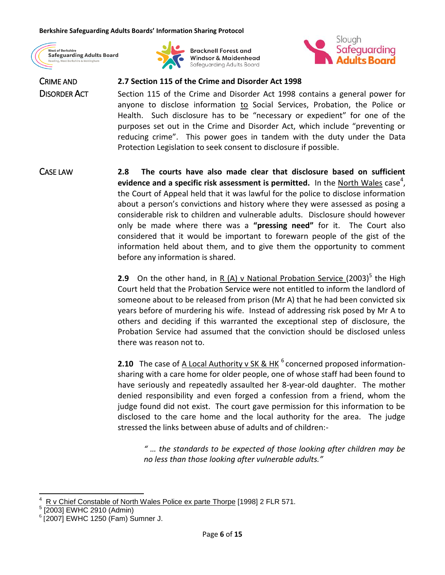



**Bracknell Forest and<br>Windsor & Maidenhead**<br>Safeguarding Adults Board



## CRIME AND **2.7 Section 115 of the Crime and Disorder Act 1998**

DISORDER ACT Section 115 of the Crime and Disorder Act 1998 contains a general power for anyone to disclose information to Social Services, Probation, the Police or Health. Such disclosure has to be "necessary or expedient" for one of the purposes set out in the Crime and Disorder Act, which include "preventing or reducing crime". This power goes in tandem with the duty under the Data Protection Legislation to seek consent to disclosure if possible.

CASE LAW **2.8 The courts have also made clear that disclosure based on sufficient**  evidence and a specific risk assessment is permitted. In the <u>North Wales</u> case<sup>4</sup>, the Court of Appeal held that it was lawful for the police to disclose information about a person's convictions and history where they were assessed as posing a considerable risk to children and vulnerable adults. Disclosure should however only be made where there was a **"pressing need"** for it. The Court also considered that it would be important to forewarn people of the gist of the information held about them, and to give them the opportunity to comment before any information is shared.

> **2.9** On the other hand, in R (A) v National Probation Service (2003)<sup>5</sup> the High Court held that the Probation Service were not entitled to inform the landlord of someone about to be released from prison (Mr A) that he had been convicted six years before of murdering his wife. Instead of addressing risk posed by Mr A to others and deciding if this warranted the exceptional step of disclosure, the Probation Service had assumed that the conviction should be disclosed unless there was reason not to.

> **2.10** The case of A Local Authority v SK & HK <sup>6</sup> concerned proposed informationsharing with a care home for older people, one of whose staff had been found to have seriously and repeatedly assaulted her 8-year-old daughter. The mother denied responsibility and even forged a confession from a friend, whom the judge found did not exist. The court gave permission for this information to be disclosed to the care home and the local authority for the area. The judge stressed the links between abuse of adults and of children:-

*" … the standards to be expected of those looking after children may be no less than those looking after vulnerable adults."*

 $\overline{a}$ 4 R v Chief Constable of North Wales Police ex parte Thorpe [1998] 2 FLR 571.

<sup>5</sup> [2003] EWHC 2910 (Admin)

<sup>6</sup> [2007] EWHC 1250 (Fam) Sumner J.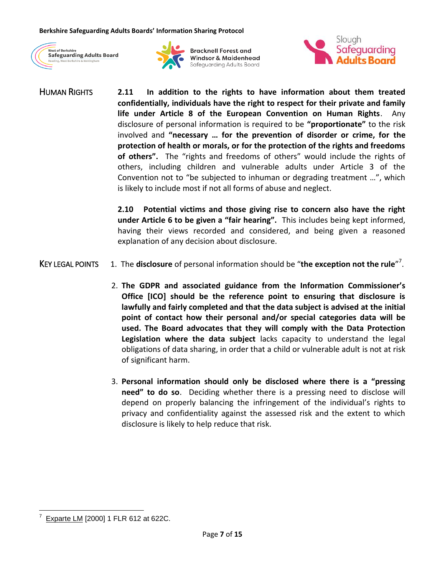





HUMAN RIGHTS **2.11 In addition to the rights to have information about them treated confidentially, individuals have the right to respect for their private and family life under Article 8 of the European Convention on Human Rights**. Any disclosure of personal information is required to be **"proportionate"** to the risk involved and **"necessary … for the prevention of disorder or crime, for the protection of health or morals, or for the protection of the rights and freedoms of others".** The "rights and freedoms of others" would include the rights of others, including children and vulnerable adults under Article 3 of the Convention not to "be subjected to inhuman or degrading treatment …", which is likely to include most if not all forms of abuse and neglect.

> **2.10 Potential victims and those giving rise to concern also have the right under Article 6 to be given a "fair hearing".** This includes being kept informed, having their views recorded and considered, and being given a reasoned explanation of any decision about disclosure.

KEY LEGAL POINTS 1. The **disclosure** of personal information should be "the exception not the rule"<sup>7</sup>.

- 2. **The GDPR and associated guidance from the Information Commissioner's Office [ICO] should be the reference point to ensuring that disclosure is lawfully and fairly completed and that the data subject is advised at the initial point of contact how their personal and/or special categories data will be used. The Board advocates that they will comply with the Data Protection Legislation where the data subject** lacks capacity to understand the legal obligations of data sharing, in order that a child or vulnerable adult is not at risk of significant harm.
- 3. **Personal information should only be disclosed where there is a "pressing need" to do so**. Deciding whether there is a pressing need to disclose will depend on properly balancing the infringement of the individual's rights to privacy and confidentiality against the assessed risk and the extent to which disclosure is likely to help reduce that risk.

 $\overline{\phantom{a}}$ 

<sup>7</sup> Exparte LM [2000] 1 FLR 612 at 622C.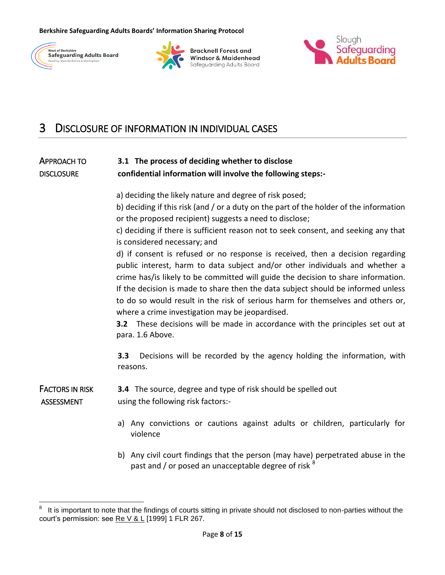





## 3 DISCLOSURE OF INFORMATION IN INDIVIDUAL CASES

## APPROACH TO **3.1 The process of deciding whether to disclose**

## DISCLOSURE **confidential information will involve the following steps:-**

a) deciding the likely nature and degree of risk posed;

b) deciding if this risk (and / or a duty on the part of the holder of the information or the proposed recipient) suggests a need to disclose;

c) deciding if there is sufficient reason not to seek consent, and seeking any that is considered necessary; and

d) if consent is refused or no response is received, then a decision regarding public interest, harm to data subject and/or other individuals and whether a crime has/is likely to be committed will guide the decision to share information. If the decision is made to share then the data subject should be informed unless to do so would result in the risk of serious harm for themselves and others or, where a crime investigation may be jeopardised.

**3.2** These decisions will be made in accordance with the principles set out at para. 1.6 Above.

**3.3** Decisions will be recorded by the agency holding the information, with reasons.

FACTORS IN RISK **3.4** The source, degree and type of risk should be spelled out ASSESSMENT using the following risk factors:-

- a) Any convictions or cautions against adults or children, particularly for violence
- b) Any civil court findings that the person (may have) perpetrated abuse in the past and / or posed an unacceptable degree of risk  $8$

 8 It is important to note that the findings of courts sitting in private should not disclosed to non-parties without the court's permission: see Re  $V & L$  [1999] 1 FLR 267.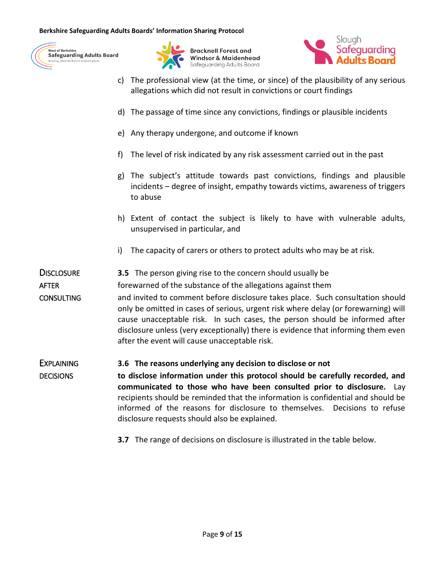



**Bracknell Forest and** Windsor & Maidenhead .<br>Safeguarding Adults Board



- c) The professional view (at the time, or since) of the plausibility of any serious allegations which did not result in convictions or court findings
- d) The passage of time since any convictions, findings or plausible incidents
- e) Any therapy undergone, and outcome if known
- f) The level of risk indicated by any risk assessment carried out in the past
- g) The subject's attitude towards past convictions, findings and plausible incidents – degree of insight, empathy towards victims, awareness of triggers to abuse
- h) Extent of contact the subject is likely to have with vulnerable adults, unsupervised in particular, and
- i) The capacity of carers or others to protect adults who may be at risk.

DISCLOSURE **3.5** The person giving rise to the concern should usually be AFTER forewarned of the substance of the allegations against them CONSULTING and invited to comment before disclosure takes place. Such consultation should only be omitted in cases of serious, urgent risk where delay (or forewarning) will cause unacceptable risk. In such cases, the person should be informed after disclosure unless (very exceptionally) there is evidence that informing them even after the event will cause unacceptable risk.

EXPLAINING **3.6 The reasons underlying any decision to disclose or not** 

DECISIONS **to disclose information under this protocol should be carefully recorded, and communicated to those who have been consulted prior to disclosure.** Lay recipients should be reminded that the information is confidential and should be informed of the reasons for disclosure to themselves. Decisions to refuse disclosure requests should also be explained.

**3.7** The range of decisions on disclosure is illustrated in the table below.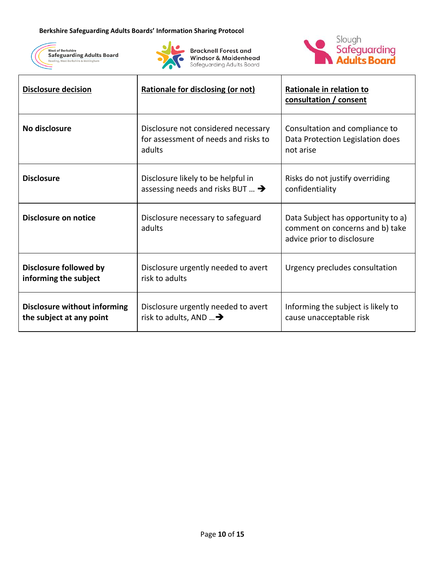



**Bracknell Forest and<br>Windsor & Maidenhead**<br>Safeguarding Adults Board



| <b>Disclosure decision</b>                                      | <b>Rationale for disclosing (or not)</b>                                              | Rationale in relation to<br>consultation / consent                                                  |
|-----------------------------------------------------------------|---------------------------------------------------------------------------------------|-----------------------------------------------------------------------------------------------------|
| No disclosure                                                   | Disclosure not considered necessary<br>for assessment of needs and risks to<br>adults | Consultation and compliance to<br>Data Protection Legislation does<br>not arise                     |
| <b>Disclosure</b>                                               | Disclosure likely to be helpful in<br>assessing needs and risks BUT $\rightarrow$     | Risks do not justify overriding<br>confidentiality                                                  |
| Disclosure on notice                                            | Disclosure necessary to safeguard<br>adults                                           | Data Subject has opportunity to a)<br>comment on concerns and b) take<br>advice prior to disclosure |
| Disclosure followed by<br>informing the subject                 | Disclosure urgently needed to avert<br>risk to adults                                 | Urgency precludes consultation                                                                      |
| <b>Disclosure without informing</b><br>the subject at any point | Disclosure urgently needed to avert<br>risk to adults, AND $\rightarrow$              | Informing the subject is likely to<br>cause unacceptable risk                                       |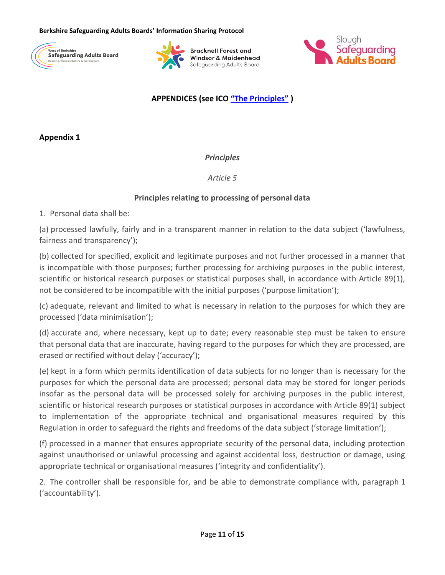





## **APPENDICES (see ICO ["The Principles"](https://ico.org.uk/for-organisations/guide-to-data-protection/guide-to-the-general-data-protection-regulation-gdpr/principles/) )**

**Appendix 1**

## *Principles*

*Article 5*

## **Principles relating to processing of personal data**

1. Personal data shall be:

(a) processed lawfully, fairly and in a transparent manner in relation to the data subject ('lawfulness, fairness and transparency');

(b) collected for specified, explicit and legitimate purposes and not further processed in a manner that is incompatible with those purposes; further processing for archiving purposes in the public interest, scientific or historical research purposes or statistical purposes shall, in accordance with Article 89(1), not be considered to be incompatible with the initial purposes ('purpose limitation');

(c) adequate, relevant and limited to what is necessary in relation to the purposes for which they are processed ('data minimisation');

(d) accurate and, where necessary, kept up to date; every reasonable step must be taken to ensure that personal data that are inaccurate, having regard to the purposes for which they are processed, are erased or rectified without delay ('accuracy');

(e) kept in a form which permits identification of data subjects for no longer than is necessary for the purposes for which the personal data are processed; personal data may be stored for longer periods insofar as the personal data will be processed solely for archiving purposes in the public interest, scientific or historical research purposes or statistical purposes in accordance with Article 89(1) subject to implementation of the appropriate technical and organisational measures required by this Regulation in order to safeguard the rights and freedoms of the data subject ('storage limitation');

(f) processed in a manner that ensures appropriate security of the personal data, including protection against unauthorised or unlawful processing and against accidental loss, destruction or damage, using appropriate technical or organisational measures ('integrity and confidentiality').

2. The controller shall be responsible for, and be able to demonstrate compliance with, paragraph 1 ('accountability').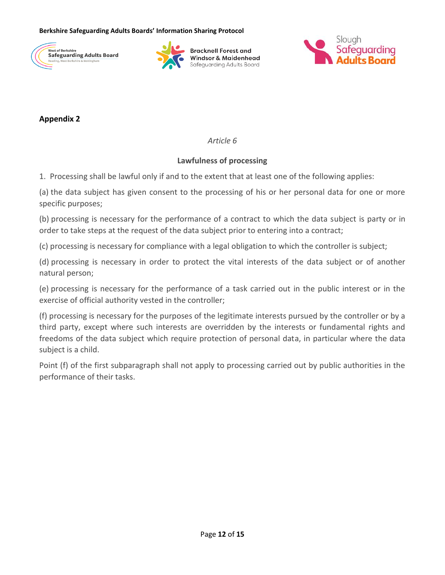





**Appendix 2**

## *Article 6*

## **Lawfulness of processing**

1. Processing shall be lawful only if and to the extent that at least one of the following applies:

(a) the data subject has given consent to the processing of his or her personal data for one or more specific purposes;

(b) processing is necessary for the performance of a contract to which the data subject is party or in order to take steps at the request of the data subject prior to entering into a contract;

(c) processing is necessary for compliance with a legal obligation to which the controller is subject;

(d) processing is necessary in order to protect the vital interests of the data subject or of another natural person;

(e) processing is necessary for the performance of a task carried out in the public interest or in the exercise of official authority vested in the controller;

(f) processing is necessary for the purposes of the legitimate interests pursued by the controller or by a third party, except where such interests are overridden by the interests or fundamental rights and freedoms of the data subject which require protection of personal data, in particular where the data subject is a child.

Point (f) of the first subparagraph shall not apply to processing carried out by public authorities in the performance of their tasks.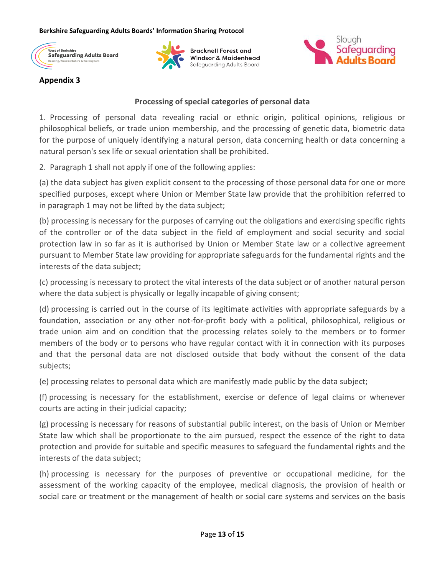

## **Appendix 3**

## **Bracknell Forest and Windsor & Maidenhead** Safeguarding Adults Board



## **Processing of special categories of personal data**

1. Processing of personal data revealing racial or ethnic origin, political opinions, religious or philosophical beliefs, or trade union membership, and the processing of genetic data, biometric data for the purpose of uniquely identifying a natural person, data concerning health or data concerning a natural person's sex life or sexual orientation shall be prohibited.

2. Paragraph 1 shall not apply if one of the following applies:

(a) the data subject has given explicit consent to the processing of those personal data for one or more specified purposes, except where Union or Member State law provide that the prohibition referred to in paragraph 1 may not be lifted by the data subject;

(b) processing is necessary for the purposes of carrying out the obligations and exercising specific rights of the controller or of the data subject in the field of employment and social security and social protection law in so far as it is authorised by Union or Member State law or a collective agreement pursuant to Member State law providing for appropriate safeguards for the fundamental rights and the interests of the data subject;

(c) processing is necessary to protect the vital interests of the data subject or of another natural person where the data subject is physically or legally incapable of giving consent;

(d) processing is carried out in the course of its legitimate activities with appropriate safeguards by a foundation, association or any other not-for-profit body with a political, philosophical, religious or trade union aim and on condition that the processing relates solely to the members or to former members of the body or to persons who have regular contact with it in connection with its purposes and that the personal data are not disclosed outside that body without the consent of the data subjects;

(e) processing relates to personal data which are manifestly made public by the data subject;

(f) processing is necessary for the establishment, exercise or defence of legal claims or whenever courts are acting in their judicial capacity;

(g) processing is necessary for reasons of substantial public interest, on the basis of Union or Member State law which shall be proportionate to the aim pursued, respect the essence of the right to data protection and provide for suitable and specific measures to safeguard the fundamental rights and the interests of the data subject;

(h) processing is necessary for the purposes of preventive or occupational medicine, for the assessment of the working capacity of the employee, medical diagnosis, the provision of health or social care or treatment or the management of health or social care systems and services on the basis